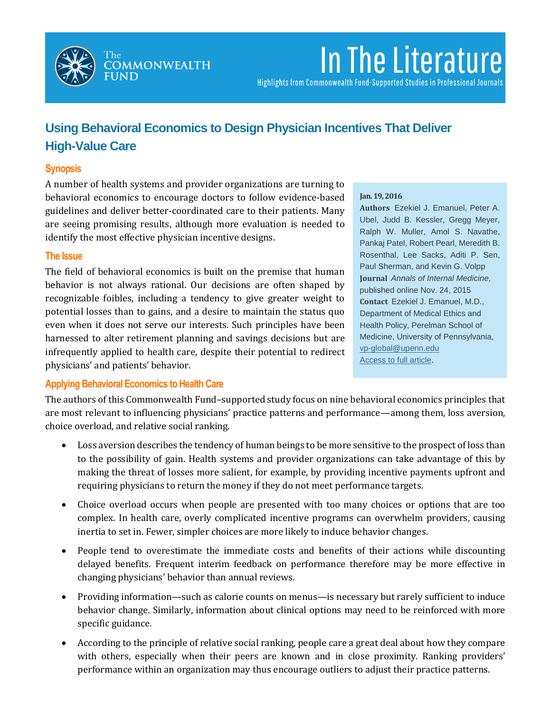

# In The Literature

Highlights from Commonwealth Fund-Supported Studies in Professional Journals

# **Using Behavioral Economics to Design Physician Incentives That Deliver High-Value Care**

# **Synopsis**

A number of health systems and provider organizations are turning to behavioral economics to encourage doctors to follow evidence-based guidelines and deliver better-coordinated care to their patients. Many are seeing promising results, although more evaluation is needed to identify the most effective physician incentive designs.

### **The Issue**

The field of behavioral economics is built on the premise that human behavior is not always rational. Our decisions are often shaped by recognizable foibles, including a tendency to give greater weight to potential losses than to gains, and a desire to maintain the status quo even when it does not serve our interests. Such principles have been harnessed to alter retirement planning and savings decisions but are infrequently applied to health care, despite their potential to redirect physicians' and patients' behavior.

#### **Jan. 19, 2016**

**Authors** Ezekiel J. Emanuel, Peter A. Ubel, Judd B. Kessler, Gregg Meyer, Ralph W. Muller, Amol S. Navathe, Pankaj Patel, Robert Pearl, Meredith B. Rosenthal, Lee Sacks, Aditi P. Sen, Paul Sherman, and Kevin G. Volpp **Journal** *Annals of Internal Medicine,*  published online Nov. 24, 2015 **Contact** Ezekiel J. Emanuel, M.D., Department of Medical Ethics and Health Policy, Perelman School of Medicine, University of Pennsylvania, [vp-global@upenn.edu](mailto:vp-global@upenn.edu) [Access to full article.](http://annals.org/article.aspx?articleid=2471601)

# **Applying Behavioral Economics to Health Care**

The authors of this Commonwealth Fund–supported study focus on nine behavioral economics principles that are most relevant to influencing physicians' practice patterns and performance—among them, loss aversion, choice overload, and relative social ranking.

- Loss aversion describes the tendency of human beings to be more sensitive to the prospect of loss than to the possibility of gain. Health systems and provider organizations can take advantage of this by making the threat of losses more salient, for example, by providing incentive payments upfront and requiring physicians to return the money if they do not meet performance targets.
- Choice overload occurs when people are presented with too many choices or options that are too complex. In health care, overly complicated incentive programs can overwhelm providers, causing inertia to set in. Fewer, simpler choices are more likely to induce behavior changes.
- People tend to overestimate the immediate costs and benefits of their actions while discounting delayed benefits. Frequent interim feedback on performance therefore may be more effective in changing physicians' behavior than annual reviews.
- Providing information—such as calorie counts on menus—is necessary but rarely sufficient to induce behavior change. Similarly, information about clinical options may need to be reinforced with more specific guidance.
- According to the principle of relative social ranking, people care a great deal about how they compare with others, especially when their peers are known and in close proximity. Ranking providers' performance within an organization may thus encourage outliers to adjust their practice patterns.